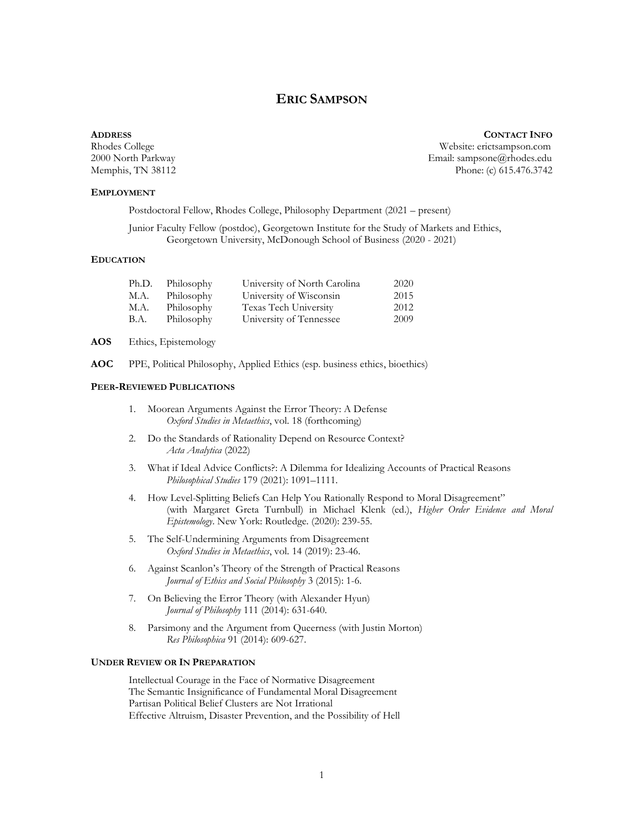# **ERIC SAMPSON**

#### **ADDRESS CONTACT INFO**

### **EMPLOYMENT**

Rhodes College Website: erictsampson.com 2000 North Parkway Email: sampsone@rhodes.edu Memphis, TN 38112 Phone: (c) 615.476.3742

Postdoctoral Fellow, Rhodes College, Philosophy Department (2021 – present)

Junior Faculty Fellow (postdoc), Georgetown Institute for the Study of Markets and Ethics, Georgetown University, McDonough School of Business (2020 - 2021)

## **EDUCATION**

| Ph.D. | Philosophy | University of North Carolina | 2020 |
|-------|------------|------------------------------|------|
| M.A.  | Philosophy | University of Wisconsin      | 2015 |
| M.A.  | Philosophy | Texas Tech University        | 2012 |
| B.A.  | Philosophy | University of Tennessee      | 2009 |

**AOS** Ethics, Epistemology

**AOC** PPE, Political Philosophy, Applied Ethics (esp. business ethics, bioethics)

### **PEER-REVIEWED PUBLICATIONS**

- 1. Moorean Arguments Against the Error Theory: A Defense *Oxford Studies in Metaethics*, vol. 18 (forthcoming)
- 2. Do the Standards of Rationality Depend on Resource Context? *Acta Analytica* (2022)
- 3. What if Ideal Advice Conflicts?: A Dilemma for Idealizing Accounts of Practical Reasons *Philosophical Studies* 179 (2021): 1091–1111.
- 4. How Level-Splitting Beliefs Can Help You Rationally Respond to Moral Disagreement" (with Margaret Greta Turnbull) in Michael Klenk (ed.), *Higher Order Evidence and Moral Epistemology*. New York: Routledge. (2020): 239-55.
- 5. The Self-Undermining Arguments from Disagreement *Oxford Studies in Metaethics*, vol. 14 (2019): 23-46.
- 6. Against Scanlon's Theory of the Strength of Practical Reasons *Journal of Ethics and Social Philosophy* 3 (2015): 1-6.
- 7. On Believing the Error Theory (with Alexander Hyun) *Journal of Philosophy* 111 (2014): 631-640.
- 8. Parsimony and the Argument from Queerness (with Justin Morton) *Res Philosophica* 91 (2014): 609-627.

#### **UNDER REVIEW OR IN PREPARATION**

Intellectual Courage in the Face of Normative Disagreement The Semantic Insignificance of Fundamental Moral Disagreement Partisan Political Belief Clusters are Not Irrational Effective Altruism, Disaster Prevention, and the Possibility of Hell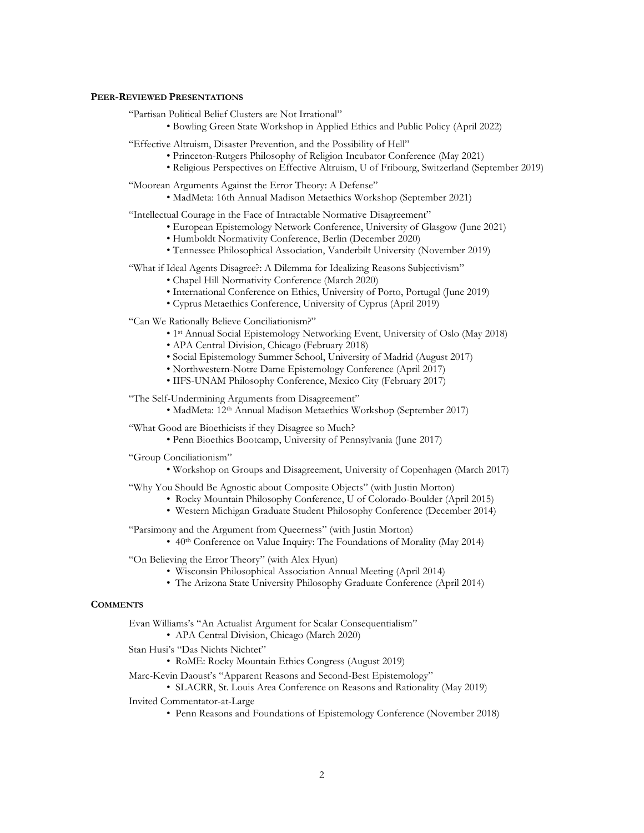#### **PEER-REVIEWED PRESENTATIONS**

"Partisan Political Belief Clusters are Not Irrational"

• Bowling Green State Workshop in Applied Ethics and Public Policy (April 2022)

"Effective Altruism, Disaster Prevention, and the Possibility of Hell"

- Princeton-Rutgers Philosophy of Religion Incubator Conference (May 2021)
- Religious Perspectives on Effective Altruism, U of Fribourg, Switzerland (September 2019)

"Moorean Arguments Against the Error Theory: A Defense"

• MadMeta: 16th Annual Madison Metaethics Workshop (September 2021)

"Intellectual Courage in the Face of Intractable Normative Disagreement"

- European Epistemology Network Conference, University of Glasgow (June 2021)
- Humboldt Normativity Conference, Berlin (December 2020)
- Tennessee Philosophical Association, Vanderbilt University (November 2019)

"What if Ideal Agents Disagree?: A Dilemma for Idealizing Reasons Subjectivism"

- Chapel Hill Normativity Conference (March 2020)
- International Conference on Ethics, University of Porto, Portugal (June 2019)
- Cyprus Metaethics Conference, University of Cyprus (April 2019)

"Can We Rationally Believe Conciliationism?"

- 1st Annual Social Epistemology Networking Event, University of Oslo (May 2018)
- APA Central Division, Chicago (February 2018)
- Social Epistemology Summer School, University of Madrid (August 2017)
- Northwestern-Notre Dame Epistemology Conference (April 2017)
- IIFS-UNAM Philosophy Conference, Mexico City (February 2017)

"The Self-Undermining Arguments from Disagreement"

• MadMeta: 12th Annual Madison Metaethics Workshop (September 2017)

"What Good are Bioethicists if they Disagree so Much?

• Penn Bioethics Bootcamp, University of Pennsylvania (June 2017)

"Group Conciliationism"

• Workshop on Groups and Disagreement, University of Copenhagen (March 2017)

"Why You Should Be Agnostic about Composite Objects" (with Justin Morton)

- Rocky Mountain Philosophy Conference, U of Colorado-Boulder (April 2015)
- Western Michigan Graduate Student Philosophy Conference (December 2014)

"Parsimony and the Argument from Queerness" (with Justin Morton)

•  $40<sup>th</sup>$  Conference on Value Inquiry: The Foundations of Morality (May 2014)

"On Believing the Error Theory" (with Alex Hyun)

- Wisconsin Philosophical Association Annual Meeting (April 2014)
- The Arizona State University Philosophy Graduate Conference (April 2014)

#### **COMMENTS**

Evan Williams's "An Actualist Argument for Scalar Consequentialism"

• APA Central Division, Chicago (March 2020)

Stan Husi's "Das Nichts Nichtet"

• RoME: Rocky Mountain Ethics Congress (August 2019)

Marc-Kevin Daoust's "Apparent Reasons and Second-Best Epistemology"

• SLACRR, St. Louis Area Conference on Reasons and Rationality (May 2019)

- Invited Commentator-at-Large
	- Penn Reasons and Foundations of Epistemology Conference (November 2018)